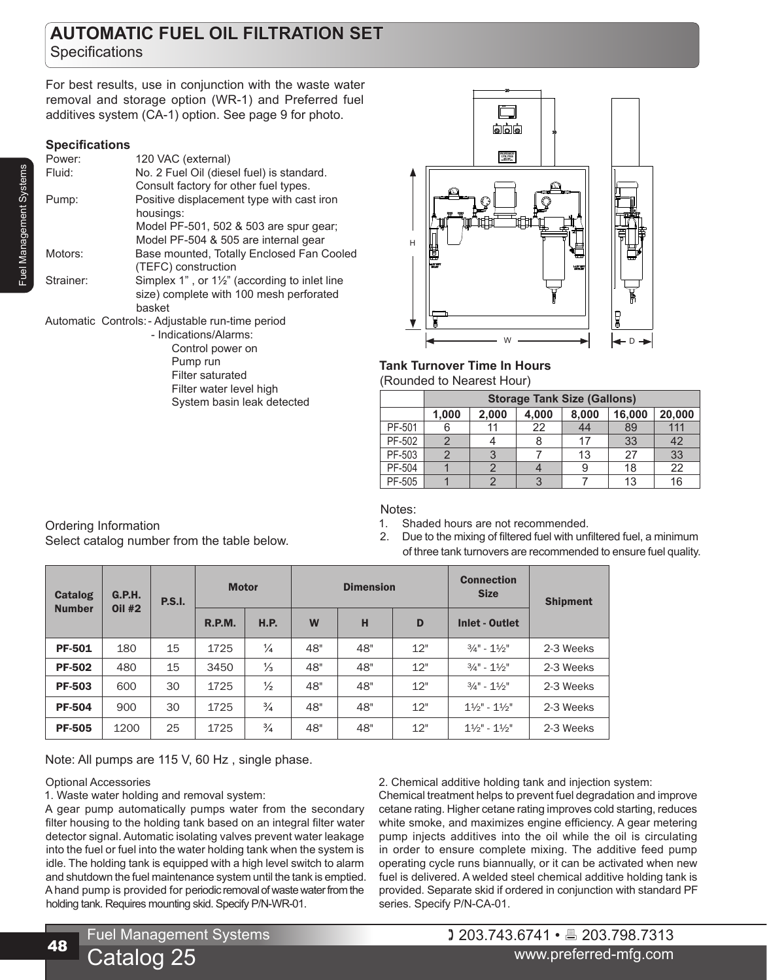# **AUTOMATIC FUEL OIL FILTRATION SET Specifications**

For best results, use in conjunction with the waste water removal and storage option (WR-1) and Preferred fuel additives system (CA-1) option. See page 9 for photo.

# **Specifications**

| Power:    | 120 VAC (external)                                       |
|-----------|----------------------------------------------------------|
| Fluid:    | No. 2 Fuel Oil (diesel fuel) is standard.                |
|           | Consult factory for other fuel types.                    |
| Pump:     | Positive displacement type with cast iron                |
|           | housings:                                                |
|           | Model PF-501, 502 & 503 are spur gear;                   |
|           | Model PF-504 & 505 are internal gear                     |
| Motors:   | Base mounted, Totally Enclosed Fan Cooled                |
|           | (TEFC) construction                                      |
| Strainer: | Simplex 1", or $1\frac{1}{2}$ " (according to inlet line |
|           | size) complete with 100 mesh perforated                  |
|           | basket                                                   |
|           | Automatic Controls: - Adjustable run-time period         |
|           | - Indications/Alarms:                                    |

Control power on Pump run Filter saturated Filter water level high System basin leak detected



# **Tank Turnover Time In Hours**

(Rounded to Nearest Hour)

|        | <b>Storage Tank Size (Gallons)</b> |       |       |       |        |        |  |  |  |
|--------|------------------------------------|-------|-------|-------|--------|--------|--|--|--|
|        | 1,000                              | 2,000 | 4,000 | 8,000 | 16,000 | 20,000 |  |  |  |
| PF-501 |                                    | 11    | 22    | 44    | 89     | 111    |  |  |  |
| PF-502 |                                    |       |       | 17    | 33     | 42     |  |  |  |
| PF-503 |                                    |       |       | 13    | 27     | 33     |  |  |  |
| PF-504 |                                    |       |       |       | 18     | 22     |  |  |  |
| PF-505 |                                    |       |       |       | 13     | 16     |  |  |  |

# Notes:

1. Shaded hours are not recommended.

2. Due to the mixing of filtered fuel with unfiltered fuel, a minimum of three tank turnovers are recommended to ensure fuel quality.

| <b>Catalog</b><br><b>Number</b> | <b>G.P.H.</b><br><b>Oil #2</b> | <b>P.S.I.</b> | <b>Motor</b> |               | <b>Dimension</b> |     |     | <b>Connection</b><br><b>Size</b>    | <b>Shipment</b> |
|---------------------------------|--------------------------------|---------------|--------------|---------------|------------------|-----|-----|-------------------------------------|-----------------|
|                                 |                                |               | R.P.M.       | <b>H.P.</b>   | W                | н   | D   | <b>Inlet - Outlet</b>               |                 |
| <b>PF-501</b>                   | 180                            | 15            | 1725         | $\frac{1}{4}$ | 48"              | 48" | 12" | $3/4" - 11/2"$                      | 2-3 Weeks       |
| <b>PF-502</b>                   | 480                            | 15            | 3450         | $\frac{1}{3}$ | 48"              | 48" | 12" | $3/4" - 11/2"$                      | 2-3 Weeks       |
| <b>PF-503</b>                   | 600                            | 30            | 1725         | $\frac{1}{2}$ | 48"              | 48" | 12" | $3/4" - 11/2"$                      | 2-3 Weeks       |
| <b>PF-504</b>                   | 900                            | 30            | 1725         | $\frac{3}{4}$ | 48"              | 48" | 12" | $1\frac{1}{2}$ " - $1\frac{1}{2}$ " | 2-3 Weeks       |
| <b>PF-505</b>                   | 1200                           | 25            | 1725         | $\frac{3}{4}$ | 48"              | 48" | 12" | $1\frac{1}{2}$ " - $1\frac{1}{2}$ " | 2-3 Weeks       |

Note: All pumps are 115 V, 60 Hz , single phase.

Select catalog number from the table below.

# Optional Accessories

Ordering Information

48

1. Waste water holding and removal system:

A gear pump automatically pumps water from the secondary filter housing to the holding tank based on an integral filter water detector signal. Automatic isolating valves prevent water leakage into the fuel or fuel into the water holding tank when the system is idle. The holding tank is equipped with a high level switch to alarm and shutdown the fuel maintenance system until the tank is emptied. A hand pump is provided for periodic removal of waste water from the holding tank. Requires mounting skid. Specify P/N-WR-01.

2. Chemical additive holding tank and injection system:

Chemical treatment helps to prevent fuel degradation and improve cetane rating. Higher cetane rating improves cold starting, reduces white smoke, and maximizes engine efficiency. A gear metering pump injects additives into the oil while the oil is circulating in order to ensure complete mixing. The additive feed pump operating cycle runs biannually, or it can be activated when new fuel is delivered. A welded steel chemical additive holding tank is provided. Separate skid if ordered in conjunction with standard PF series. Specify P/N-CA-01.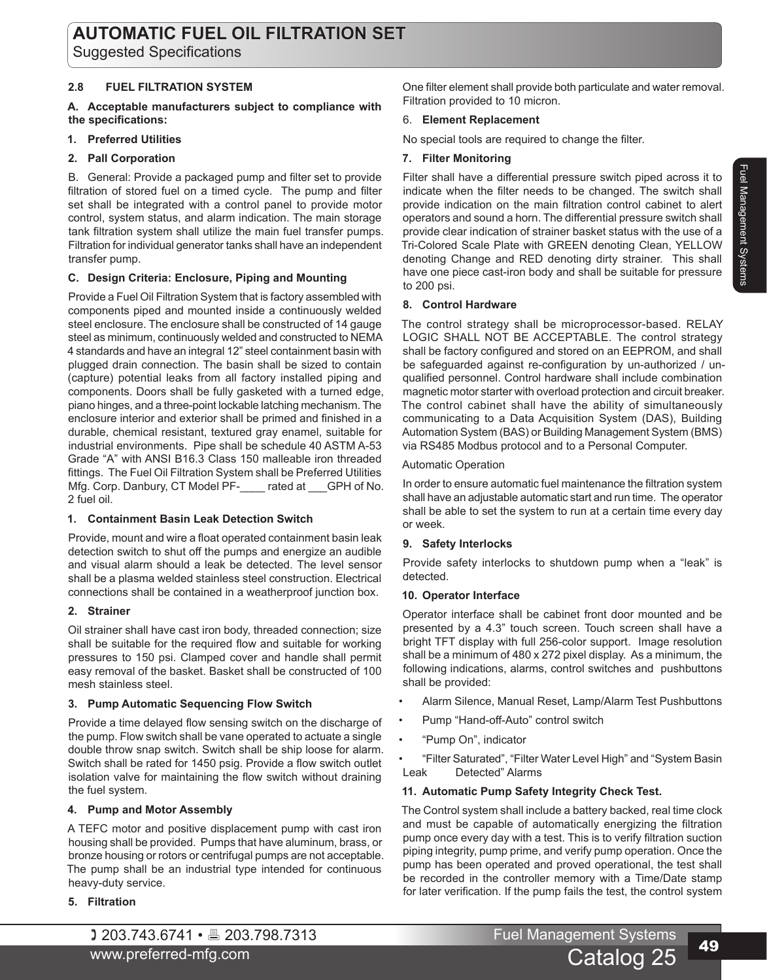### **2.8 FUEL FILTRATION SYSTEM**

#### **A. Acceptable manufacturers subject to compliance with the specifications:**

#### **1. Preferred Utilities**

#### **2. Pall Corporation**

B. General: Provide a packaged pump and filter set to provide filtration of stored fuel on a timed cycle. The pump and filter set shall be integrated with a control panel to provide motor control, system status, and alarm indication. The main storage tank filtration system shall utilize the main fuel transfer pumps. Filtration for individual generator tanks shall have an independent transfer pump.

#### **C. Design Criteria: Enclosure, Piping and Mounting**

Provide a Fuel Oil Filtration System that is factory assembled with components piped and mounted inside a continuously welded steel enclosure. The enclosure shall be constructed of 14 gauge steel as minimum, continuously welded and constructed to NEMA 4 standards and have an integral 12" steel containment basin with plugged drain connection. The basin shall be sized to contain (capture) potential leaks from all factory installed piping and components. Doors shall be fully gasketed with a turned edge, piano hinges, and a three-point lockable latching mechanism. The enclosure interior and exterior shall be primed and finished in a durable, chemical resistant, textured gray enamel, suitable for industrial environments. Pipe shall be schedule 40 ASTM A-53 Grade "A" with ANSI B16.3 Class 150 malleable iron threaded fittings. The Fuel Oil Filtration System shall be Preferred Utilities Mfg. Corp. Danbury, CT Model PF-\_\_\_\_ rated at \_\_\_GPH of No. 2 fuel oil.

#### **1. Containment Basin Leak Detection Switch**

Provide, mount and wire a float operated containment basin leak detection switch to shut off the pumps and energize an audible and visual alarm should a leak be detected. The level sensor shall be a plasma welded stainless steel construction. Electrical connections shall be contained in a weatherproof junction box.

# **2. Strainer**

Oil strainer shall have cast iron body, threaded connection; size shall be suitable for the required flow and suitable for working pressures to 150 psi. Clamped cover and handle shall permit easy removal of the basket. Basket shall be constructed of 100 mesh stainless steel.

#### **3. Pump Automatic Sequencing Flow Switch**

Provide a time delayed flow sensing switch on the discharge of the pump. Flow switch shall be vane operated to actuate a single double throw snap switch. Switch shall be ship loose for alarm. Switch shall be rated for 1450 psig. Provide a flow switch outlet isolation valve for maintaining the flow switch without draining the fuel system.

#### **4. Pump and Motor Assembly**

A TEFC motor and positive displacement pump with cast iron housing shall be provided. Pumps that have aluminum, brass, or bronze housing or rotors or centrifugal pumps are not acceptable. The pump shall be an industrial type intended for continuous heavy-duty service.

# **5. Filtration**

One filter element shall provide both particulate and water removal. Filtration provided to 10 micron.

#### 6. **Element Replacement**

No special tools are required to change the filter.

#### **7. Filter Monitoring**

Filter shall have a differential pressure switch piped across it to indicate when the filter needs to be changed. The switch shall provide indication on the main filtration control cabinet to alert operators and sound a horn. The differential pressure switch shall provide clear indication of strainer basket status with the use of a Tri-Colored Scale Plate with GREEN denoting Clean, YELLOW denoting Change and RED denoting dirty strainer. This shall have one piece cast-iron body and shall be suitable for pressure to 200 psi.

#### **8. Control Hardware**

The control strategy shall be microprocessor-based. RELAY LOGIC SHALL NOT BE ACCEPTABLE. The control strategy shall be factory configured and stored on an EEPROM, and shall be safeguarded against re-configuration by un-authorized / unqualified personnel. Control hardware shall include combination magnetic motor starter with overload protection and circuit breaker. The control cabinet shall have the ability of simultaneously communicating to a Data Acquisition System (DAS), Building Automation System (BAS) or Building Management System (BMS) via RS485 Modbus protocol and to a Personal Computer.

Automatic Operation

In order to ensure automatic fuel maintenance the filtration system shall have an adjustable automatic start and run time. The operator shall be able to set the system to run at a certain time every day or week.

# **9. Safety Interlocks**

Provide safety interlocks to shutdown pump when a "leak" is detected.

# **10. Operator Interface**

Operator interface shall be cabinet front door mounted and be presented by a 4.3" touch screen. Touch screen shall have a bright TFT display with full 256-color support. Image resolution shall be a minimum of 480 x 272 pixel display. As a minimum, the following indications, alarms, control switches and pushbuttons shall be provided:

- Alarm Silence, Manual Reset, Lamp/Alarm Test Pushbuttons
- Pump "Hand-off-Auto" control switch
- "Pump On", indicator

• "Filter Saturated", "Filter Water Level High" and "System Basin Leak Detected" Alarms

#### **11. Automatic Pump Safety Integrity Check Test.**

The Control system shall include a battery backed, real time clock and must be capable of automatically energizing the filtration pump once every day with a test. This is to verify filtration suction piping integrity, pump prime, and verify pump operation. Once the pump has been operated and proved operational, the test shall be recorded in the controller memory with a Time/Date stamp for later verification. If the pump fails the test, the control system